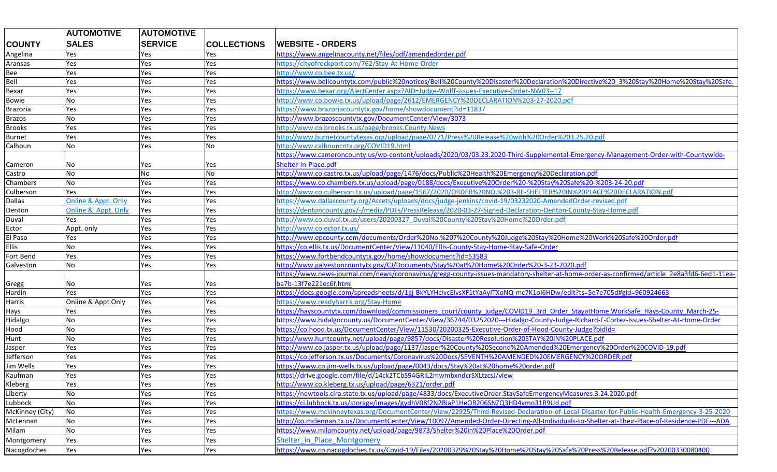|                 | <b>AUTOMOTIVE</b>   | <b>AUTOMOTIVE</b> |                    |                                                                                                                                             |
|-----------------|---------------------|-------------------|--------------------|---------------------------------------------------------------------------------------------------------------------------------------------|
| <b>COUNTY</b>   | <b>SALES</b>        | <b>SERVICE</b>    | <b>COLLECTIONS</b> | <b>WEBSITE - ORDERS</b>                                                                                                                     |
| Angelina        | Yes                 | Yes               | Yes                | https://www.angelinacounty.net/files/pdf/amendedorder.pdf                                                                                   |
| Aransas         | Yes                 | Yes               | Yes                | https://cityofrockport.com/762/Stay-At-Home-Order                                                                                           |
| Bee             | Yes                 | Yes               | Yes                | http://www.co.bee.tx.us/                                                                                                                    |
| Bell            | Yes                 | Yes               | Yes                | https://www.bellcountytx.com/public%20notices/Bell%20County%20Disaster%20Declaration%20Directive%20 3%20Stay%20Home%20Stay%20Safe.          |
| Bexar           | Yes                 | Yes               | Yes                | https://www.bexar.org/AlertCenter.aspx?AID=Judge-Wolff-issues-Executive-Order-NW03--17                                                      |
| Bowie           | No                  | Yes               | Yes                | http://www.co.bowie.tx.us/upload/page/2612/EMERGENCY%20DECLARATION%203-27-2020.pdf                                                          |
| Brazoria        | Yes                 | Yes               | Yes                | https://www.brazoriacountytx.gov/home/showdocument?id=11837                                                                                 |
| Brazos          | No                  | Yes               | Yes                | http://www.brazoscountytx.gov/DocumentCenter/View/3073                                                                                      |
| <b>Brooks</b>   | Yes                 | Yes               | Yes                | http://www.co.brooks.tx.us/page/brooks.County.News                                                                                          |
| <b>Burnet</b>   | Yes                 | Yes               | Yes                | http://www.burnetcountytexas.org/upload/page/0271/Press%20Release%20with%20Order%203.25.20.pdf                                              |
| Calhoun         | No                  | Yes               | No                 | http://www.calhouncotx.org/COVID19.html                                                                                                     |
|                 |                     |                   |                    | https://www.cameroncounty.us/wp-content/uploads/2020/03/03.23.2020-Third-Supplemental-Emergency-Management-Order-with-Countywide-           |
| Cameron         | No                  | Yes               | Yes                | Shelter-in-Place.pdf                                                                                                                        |
| Castro          | No                  | No                | No                 | http://www.co.castro.tx.us/upload/page/1476/docs/Public%20Health%20Emergency%20Declaration.pdf                                              |
| Chambers        | No                  | Yes               | Yes                | https://www.co.chambers.tx.us/upload/page/0188/docs/Executive%20Order%20-%20Stay%20Safe%20-%203-24-20.pdf                                   |
| Culberson       | Yes                 | Yes               | Yes                | http://www.co.culberson.tx.us/upload/page/1567/2020/ORDER%20NO.%203-RE-SHELTER%20IN%20PLACE%20DECLARATION.pdf                               |
| <b>Dallas</b>   | Online & Appt. Only | Yes               | Yes                | https://www.dallascounty.org/Assets/uploads/docs/judge-jenkins/covid-19/03232020-AmendedOrder-revised.pdf                                   |
| Denton          | Online & Appt. Only | Yes               | Yes                | https://dentoncounty.gov/-/media/PDFs/PressRelease/2020-03-27-Signed-Declaration-Denton-County-Stay-Home.pdf                                |
| Duval           | Yes                 | Yes               | Yes                | http://www.co.duval.tx.us/users/20200327_Duval%20County%20Stay%20Home%20Order.pdf                                                           |
| Ector           | Appt. only          | Yes               | Yes                | http://www.co.ector.tx.us/                                                                                                                  |
| El Paso         | Yes                 | Yes               | Yes                | http://www.epcounty.com/documents/Order%20No.%207%20County%20Judge%20Stay%20Home%20Work%20Safe%20Order.pdf                                  |
| <b>Ellis</b>    | No                  | Yes               | Yes                | https://co.ellis.tx.us/DocumentCenter/View/11040/Ellis-County-Stay-Home-Stay-Safe-Order                                                     |
| Fort Bend       | Yes                 | Yes               | Yes                | https://www.fortbendcountytx.gov/home/showdocument?id=53583                                                                                 |
| Galveston       | No                  | Yes               | Yes                | http://www.galvestoncountytx.gov/CJ/Documents/Stay%20at%20Home%20Order%20-3-23-2020.pdf                                                     |
|                 |                     |                   |                    | https://www.news-journal.com/news/coronavirus/gregg-county-issues-mandatory-shelter-at-home-order-as-confirmed/article 2e8a3fd6-6ed1-11ea-  |
| Gregg           | No                  | Yes               | Yes                | ba7b-13f7e221ec6f.html                                                                                                                      |
| Hardin          | Yes                 | Yes               | Yes                | https://docs.google.com/spreadsheets/d/1gj-BkYLYHcivcElvsXF1tYaAyITXoNQ-mc7K1ol6HDw/edit?ts=5e7e705d#gid=960924663                          |
| Harris          | Online & Appt Only  | Yes               | Yes                | https://www.readyharris.org/Stay-Home                                                                                                       |
| Hays            | Yes                 | Yes               | Yes                | https://hayscountytx.com/download/commissioners_court/county_judge/COVID19_3rd_Order_StayatHome.WorkSafe_Hays-County_March-25-              |
| Hidalgo         | No                  | Yes               | Yes                | https://www.hidalgocounty.us/DocumentCenter/View/36744/03252020---Hidalgo-County-Judge-Richard-F-Cortez-Issues-Shelter-At-Home-Order        |
| Hood            | No                  | Yes               | Yes                | https://co.hood.tx.us/DocumentCenter/View/11530/20200325-Executive-Order-of-Hood-County-Judge?bidld=                                        |
| Hunt            | No                  | Yes               | Yes                | http://www.huntcounty.net/upload/page/9857/docs/Disaster%20Resolution%20STAY%20IN%20PLACE.pdf                                               |
| Jasper          | Yes                 | Yes               | Yes                | http://www.co.jasper.tx.us/upload/page/1137/Jasper%20County%20Second%20Amended%20Emergency%20Order%20COVID-19.pdf                           |
| Jefferson       | Yes                 | Yes               | Yes                | https://co.jefferson.tx.us/Documents/Coronavirus%20Docs/SEVENTH%20AMENDED%20EMERGENCY%20ORDER.pdf                                           |
| Jim Wells       | Yes                 | Yes               | Yes                | https://www.co.jim-wells.tx.us/upload/page/0043/docs/Stay%20at%20home%20order.pdf                                                           |
| Kaufman         | Yes                 | Yes               | Yes                | https://drive.google.com/file/d/14ck2TCbS94GRIL2mwmbxndcrSXLtzcsJ/view                                                                      |
| Kleberg         | Yes                 | Yes               | Yes                | http://www.co.kleberg.tx.us/upload/page/6321/order.pdf                                                                                      |
| Liberty         | No                  | Yes               | Yes                | https://newtools.cira.state.tx.us/upload/page/4833/docs/ExecutiveOrder.StaySafeEmergencyMeasures.3.24.2020.pdf                              |
| Lubbock         | No                  | Yes               | Yes                | https://ci.lubbock.tx.us/storage/images/gydhV08f2N2BiaP1HeOB206SNZQ3HD4vmo31R9Ud.pdf                                                        |
| McKinney (City) | No                  | Yes               | Yes                | https://www.mckinneytexas.org/DocumentCenter/View/22925/Third-Revised-Declaration-of-Local-Disaster-for-Public-Health-Emergency-3-25-2020   |
| McLennan        | No                  | Yes               | Yes                | http://co.mclennan.tx.us/DocumentCenter/View/10097/Amended-Order-Directing-All-Individuals-to-Shelter-at-Their-Place-of-Residence-PDF---ADA |
| Milam           | No                  | Yes               | Yes                | https://www.milamcounty.net/upload/page/9873/Shelter%20in%20Place%20Order.pdf                                                               |
| Montgomery      | Yes                 | Yes               | Yes                | Shelter in Place Montgomery                                                                                                                 |
| Nacogdoches     | Yes                 | Yes               | Yes                | https://www.co.nacogdoches.tx.us/Covid-19/Files/20200329%20Stay%20Home%20Stay%20Safe%20Press%20Release.pdf?v20200330080400                  |